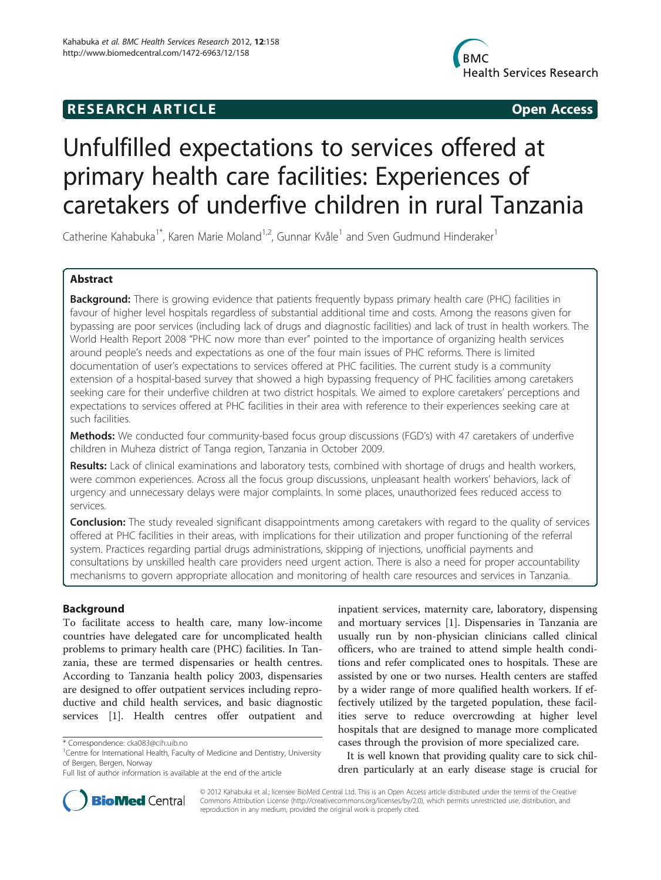# **RESEARCH ARTICLE Example 2014 CONSIDERING CONSIDERING CONSIDERING CONSIDERING CONSIDERING CONSIDERING CONSIDERING CONSIDERING CONSIDERING CONSIDERING CONSIDERING CONSIDERING CONSIDERING CONSIDERING CONSIDERING CONSIDE**



# Unfulfilled expectations to services offered at primary health care facilities: Experiences of caretakers of underfive children in rural Tanzania

Catherine Kahabuka<sup>1\*</sup>, Karen Marie Moland<sup>1,2</sup>, Gunnar Kvåle<sup>1</sup> and Sven Gudmund Hinderaker<sup>1</sup>

# Abstract

Background: There is growing evidence that patients frequently bypass primary health care (PHC) facilities in favour of higher level hospitals regardless of substantial additional time and costs. Among the reasons given for bypassing are poor services (including lack of drugs and diagnostic facilities) and lack of trust in health workers. The World Health Report 2008 "PHC now more than ever" pointed to the importance of organizing health services around people's needs and expectations as one of the four main issues of PHC reforms. There is limited documentation of user's expectations to services offered at PHC facilities. The current study is a community extension of a hospital-based survey that showed a high bypassing frequency of PHC facilities among caretakers seeking care for their underfive children at two district hospitals. We aimed to explore caretakers' perceptions and expectations to services offered at PHC facilities in their area with reference to their experiences seeking care at such facilities.

Methods: We conducted four community-based focus group discussions (FGD's) with 47 caretakers of underfive children in Muheza district of Tanga region, Tanzania in October 2009.

Results: Lack of clinical examinations and laboratory tests, combined with shortage of drugs and health workers, were common experiences. Across all the focus group discussions, unpleasant health workers' behaviors, lack of urgency and unnecessary delays were major complaints. In some places, unauthorized fees reduced access to services.

Conclusion: The study revealed significant disappointments among caretakers with regard to the quality of services offered at PHC facilities in their areas, with implications for their utilization and proper functioning of the referral system. Practices regarding partial drugs administrations, skipping of injections, unofficial payments and consultations by unskilled health care providers need urgent action. There is also a need for proper accountability mechanisms to govern appropriate allocation and monitoring of health care resources and services in Tanzania.

# Background

To facilitate access to health care, many low-income countries have delegated care for uncomplicated health problems to primary health care (PHC) facilities. In Tanzania, these are termed dispensaries or health centres. According to Tanzania health policy 2003, dispensaries are designed to offer outpatient services including reproductive and child health services, and basic diagnostic services [\[1\]](#page-8-0). Health centres offer outpatient and inpatient services, maternity care, laboratory, dispensing and mortuary services [\[1](#page-8-0)]. Dispensaries in Tanzania are usually run by non-physician clinicians called clinical officers, who are trained to attend simple health conditions and refer complicated ones to hospitals. These are assisted by one or two nurses. Health centers are staffed by a wider range of more qualified health workers. If effectively utilized by the targeted population, these facilities serve to reduce overcrowding at higher level hospitals that are designed to manage more complicated cases through the provision of more specialized care.

It is well known that providing quality care to sick children particularly at an early disease stage is crucial for



© 2012 Kahabuka et al.; licensee BioMed Central Ltd. This is an Open Access article distributed under the terms of the Creative Commons Attribution License [\(http://creativecommons.org/licenses/by/2.0\)](http://creativecommons.org/licenses/by/2.0), which permits unrestricted use, distribution, and reproduction in any medium, provided the original work is properly cited.

<sup>\*</sup> Correspondence: [cka083@cih.uib.no](mailto:cka083@cih.uib.no) <sup>1</sup>

<sup>&</sup>lt;sup>1</sup> Centre for International Health, Faculty of Medicine and Dentistry, University of Bergen, Bergen, Norway

Full list of author information is available at the end of the article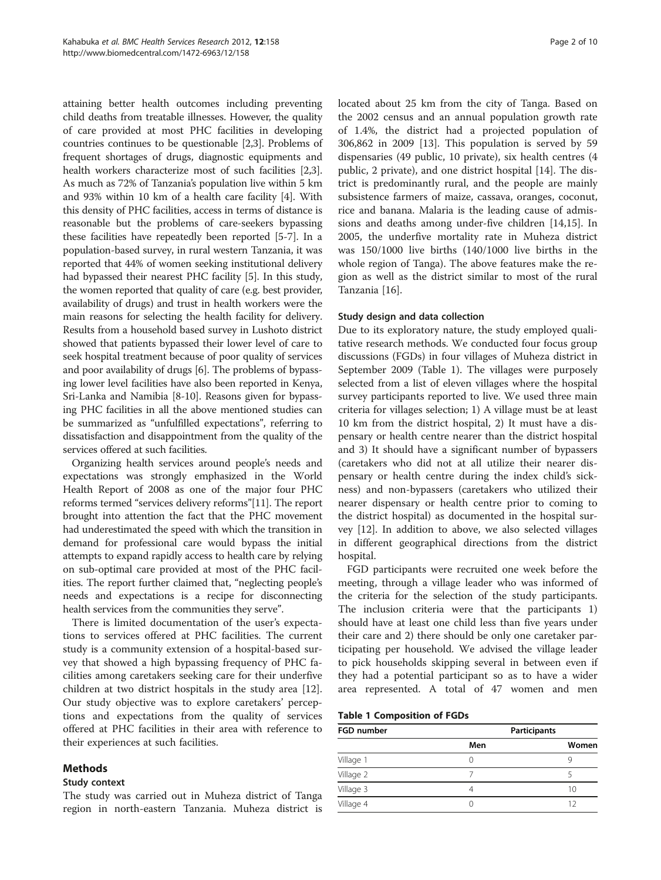attaining better health outcomes including preventing child deaths from treatable illnesses. However, the quality of care provided at most PHC facilities in developing countries continues to be questionable [\[2,3\]](#page-8-0). Problems of frequent shortages of drugs, diagnostic equipments and health workers characterize most of such facilities [[2](#page-8-0),[3](#page-8-0)]. As much as 72% of Tanzania's population live within 5 km and 93% within 10 km of a health care facility [\[4\]](#page-8-0). With this density of PHC facilities, access in terms of distance is reasonable but the problems of care-seekers bypassing these facilities have repeatedly been reported [[5-7\]](#page-8-0). In a population-based survey, in rural western Tanzania, it was reported that 44% of women seeking institutional delivery had bypassed their nearest PHC facility [[5\]](#page-8-0). In this study, the women reported that quality of care (e.g. best provider, availability of drugs) and trust in health workers were the main reasons for selecting the health facility for delivery. Results from a household based survey in Lushoto district showed that patients bypassed their lower level of care to seek hospital treatment because of poor quality of services and poor availability of drugs [[6](#page-8-0)]. The problems of bypassing lower level facilities have also been reported in Kenya, Sri-Lanka and Namibia [\[8](#page-8-0)-[10](#page-8-0)]. Reasons given for bypassing PHC facilities in all the above mentioned studies can be summarized as "unfulfilled expectations", referring to dissatisfaction and disappointment from the quality of the services offered at such facilities.

Organizing health services around people's needs and expectations was strongly emphasized in the World Health Report of 2008 as one of the major four PHC reforms termed "services delivery reforms"[[11\]](#page-8-0). The report brought into attention the fact that the PHC movement had underestimated the speed with which the transition in demand for professional care would bypass the initial attempts to expand rapidly access to health care by relying on sub-optimal care provided at most of the PHC facilities. The report further claimed that, "neglecting people's needs and expectations is a recipe for disconnecting health services from the communities they serve".

There is limited documentation of the user's expectations to services offered at PHC facilities. The current study is a community extension of a hospital-based survey that showed a high bypassing frequency of PHC facilities among caretakers seeking care for their underfive children at two district hospitals in the study area [\[12](#page-8-0)]. Our study objective was to explore caretakers' perceptions and expectations from the quality of services offered at PHC facilities in their area with reference to their experiences at such facilities.

# Methods

#### Study context

The study was carried out in Muheza district of Tanga region in north-eastern Tanzania. Muheza district is located about 25 km from the city of Tanga. Based on the 2002 census and an annual population growth rate of 1.4%, the district had a projected population of 306,862 in 2009 [\[13](#page-8-0)]. This population is served by 59 dispensaries (49 public, 10 private), six health centres (4 public, 2 private), and one district hospital [[14\]](#page-8-0). The district is predominantly rural, and the people are mainly subsistence farmers of maize, cassava, oranges, coconut, rice and banana. Malaria is the leading cause of admissions and deaths among under-five children [[14](#page-8-0),[15](#page-8-0)]. In 2005, the underfive mortality rate in Muheza district was 150/1000 live births (140/1000 live births in the whole region of Tanga). The above features make the region as well as the district similar to most of the rural Tanzania [\[16](#page-8-0)].

# Study design and data collection

Due to its exploratory nature, the study employed qualitative research methods. We conducted four focus group discussions (FGDs) in four villages of Muheza district in September 2009 (Table 1). The villages were purposely selected from a list of eleven villages where the hospital survey participants reported to live. We used three main criteria for villages selection; 1) A village must be at least 10 km from the district hospital, 2) It must have a dispensary or health centre nearer than the district hospital and 3) It should have a significant number of bypassers (caretakers who did not at all utilize their nearer dispensary or health centre during the index child's sickness) and non-bypassers (caretakers who utilized their nearer dispensary or health centre prior to coming to the district hospital) as documented in the hospital survey [\[12](#page-8-0)]. In addition to above, we also selected villages in different geographical directions from the district hospital.

FGD participants were recruited one week before the meeting, through a village leader who was informed of the criteria for the selection of the study participants. The inclusion criteria were that the participants 1) should have at least one child less than five years under their care and 2) there should be only one caretaker participating per household. We advised the village leader to pick households skipping several in between even if they had a potential participant so as to have a wider area represented. A total of 47 women and men

# Table 1 Composition of FGDs

| <b>FGD</b> number | <b>Participants</b> |       |
|-------------------|---------------------|-------|
|                   | Men                 | Women |
| Village 1         | 0                   | 9     |
| Village 2         |                     | ┑     |
| Village 3         | 4                   | 10    |
| Village 4         | O                   | 12    |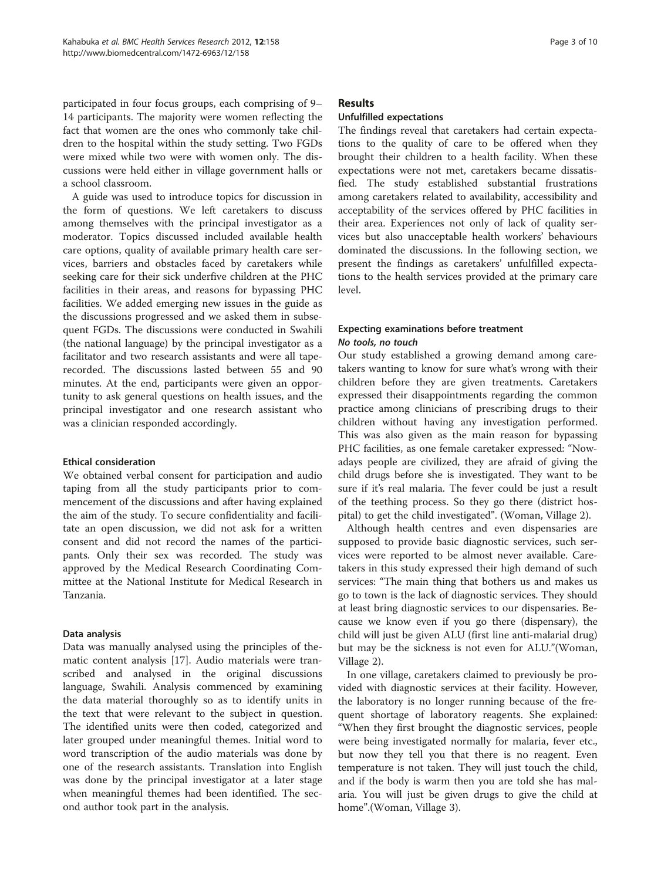participated in four focus groups, each comprising of 9– 14 participants. The majority were women reflecting the fact that women are the ones who commonly take children to the hospital within the study setting. Two FGDs were mixed while two were with women only. The discussions were held either in village government halls or a school classroom.

A guide was used to introduce topics for discussion in the form of questions. We left caretakers to discuss among themselves with the principal investigator as a moderator. Topics discussed included available health care options, quality of available primary health care services, barriers and obstacles faced by caretakers while seeking care for their sick underfive children at the PHC facilities in their areas, and reasons for bypassing PHC facilities. We added emerging new issues in the guide as the discussions progressed and we asked them in subsequent FGDs. The discussions were conducted in Swahili (the national language) by the principal investigator as a facilitator and two research assistants and were all taperecorded. The discussions lasted between 55 and 90 minutes. At the end, participants were given an opportunity to ask general questions on health issues, and the principal investigator and one research assistant who was a clinician responded accordingly.

# Ethical consideration

We obtained verbal consent for participation and audio taping from all the study participants prior to commencement of the discussions and after having explained the aim of the study. To secure confidentiality and facilitate an open discussion, we did not ask for a written consent and did not record the names of the participants. Only their sex was recorded. The study was approved by the Medical Research Coordinating Committee at the National Institute for Medical Research in Tanzania.

#### Data analysis

Data was manually analysed using the principles of thematic content analysis [\[17\]](#page-8-0). Audio materials were transcribed and analysed in the original discussions language, Swahili. Analysis commenced by examining the data material thoroughly so as to identify units in the text that were relevant to the subject in question. The identified units were then coded, categorized and later grouped under meaningful themes. Initial word to word transcription of the audio materials was done by one of the research assistants. Translation into English was done by the principal investigator at a later stage when meaningful themes had been identified. The second author took part in the analysis.

# Results

# Unfulfilled expectations

The findings reveal that caretakers had certain expectations to the quality of care to be offered when they brought their children to a health facility. When these expectations were not met, caretakers became dissatisfied. The study established substantial frustrations among caretakers related to availability, accessibility and acceptability of the services offered by PHC facilities in their area. Experiences not only of lack of quality services but also unacceptable health workers' behaviours dominated the discussions. In the following section, we present the findings as caretakers' unfulfilled expectations to the health services provided at the primary care level.

# Expecting examinations before treatment No tools, no touch

Our study established a growing demand among caretakers wanting to know for sure what's wrong with their children before they are given treatments. Caretakers expressed their disappointments regarding the common practice among clinicians of prescribing drugs to their children without having any investigation performed. This was also given as the main reason for bypassing PHC facilities, as one female caretaker expressed: "Nowadays people are civilized, they are afraid of giving the child drugs before she is investigated. They want to be sure if it's real malaria. The fever could be just a result of the teething process. So they go there (district hospital) to get the child investigated". (Woman, Village 2).

Although health centres and even dispensaries are supposed to provide basic diagnostic services, such services were reported to be almost never available. Caretakers in this study expressed their high demand of such services: "The main thing that bothers us and makes us go to town is the lack of diagnostic services. They should at least bring diagnostic services to our dispensaries. Because we know even if you go there (dispensary), the child will just be given ALU (first line anti-malarial drug) but may be the sickness is not even for ALU."(Woman, Village 2).

In one village, caretakers claimed to previously be provided with diagnostic services at their facility. However, the laboratory is no longer running because of the frequent shortage of laboratory reagents. She explained: "When they first brought the diagnostic services, people were being investigated normally for malaria, fever etc., but now they tell you that there is no reagent. Even temperature is not taken. They will just touch the child, and if the body is warm then you are told she has malaria. You will just be given drugs to give the child at home".(Woman, Village 3).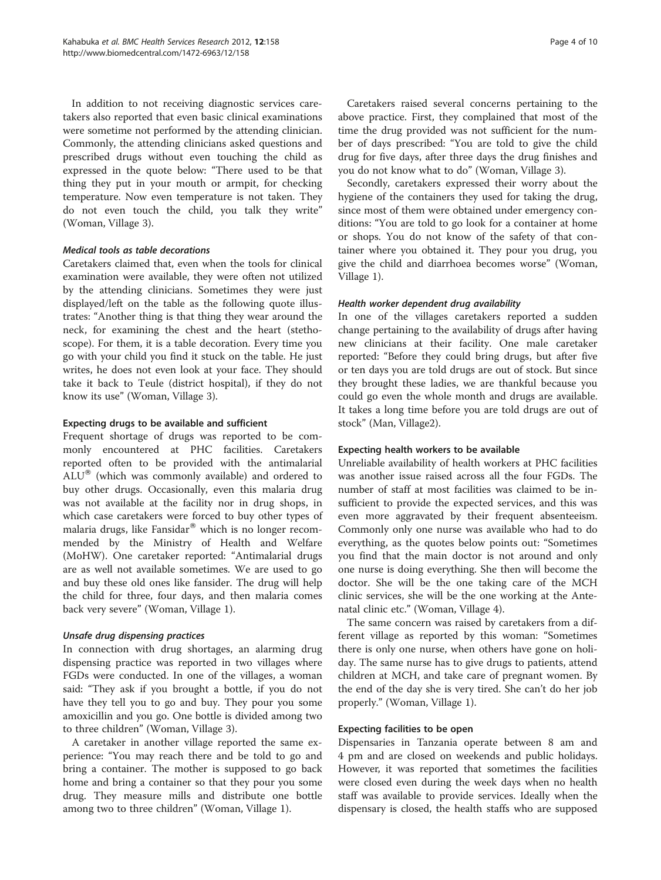In addition to not receiving diagnostic services caretakers also reported that even basic clinical examinations were sometime not performed by the attending clinician. Commonly, the attending clinicians asked questions and prescribed drugs without even touching the child as expressed in the quote below: "There used to be that thing they put in your mouth or armpit, for checking temperature. Now even temperature is not taken. They do not even touch the child, you talk they write" (Woman, Village 3).

#### Medical tools as table decorations

Caretakers claimed that, even when the tools for clinical examination were available, they were often not utilized by the attending clinicians. Sometimes they were just displayed/left on the table as the following quote illustrates: "Another thing is that thing they wear around the neck, for examining the chest and the heart (stethoscope). For them, it is a table decoration. Every time you go with your child you find it stuck on the table. He just writes, he does not even look at your face. They should take it back to Teule (district hospital), if they do not know its use" (Woman, Village 3).

# Expecting drugs to be available and sufficient

Frequent shortage of drugs was reported to be commonly encountered at PHC facilities. Caretakers reported often to be provided with the antimalarial  $ALU^®$  (which was commonly available) and ordered to buy other drugs. Occasionally, even this malaria drug was not available at the facility nor in drug shops, in which case caretakers were forced to buy other types of malaria drugs, like Fansidar® which is no longer recommended by the Ministry of Health and Welfare (MoHW). One caretaker reported: "Antimalarial drugs are as well not available sometimes. We are used to go and buy these old ones like fansider. The drug will help the child for three, four days, and then malaria comes back very severe" (Woman, Village 1).

#### Unsafe drug dispensing practices

In connection with drug shortages, an alarming drug dispensing practice was reported in two villages where FGDs were conducted. In one of the villages, a woman said: "They ask if you brought a bottle, if you do not have they tell you to go and buy. They pour you some amoxicillin and you go. One bottle is divided among two to three children" (Woman, Village 3).

A caretaker in another village reported the same experience: "You may reach there and be told to go and bring a container. The mother is supposed to go back home and bring a container so that they pour you some drug. They measure mills and distribute one bottle among two to three children" (Woman, Village 1).

Caretakers raised several concerns pertaining to the above practice. First, they complained that most of the time the drug provided was not sufficient for the number of days prescribed: "You are told to give the child drug for five days, after three days the drug finishes and you do not know what to do" (Woman, Village 3).

Secondly, caretakers expressed their worry about the hygiene of the containers they used for taking the drug, since most of them were obtained under emergency conditions: "You are told to go look for a container at home or shops. You do not know of the safety of that container where you obtained it. They pour you drug, you give the child and diarrhoea becomes worse" (Woman, Village 1).

# Health worker dependent drug availability

In one of the villages caretakers reported a sudden change pertaining to the availability of drugs after having new clinicians at their facility. One male caretaker reported: "Before they could bring drugs, but after five or ten days you are told drugs are out of stock. But since they brought these ladies, we are thankful because you could go even the whole month and drugs are available. It takes a long time before you are told drugs are out of stock" (Man, Village2).

#### Expecting health workers to be available

Unreliable availability of health workers at PHC facilities was another issue raised across all the four FGDs. The number of staff at most facilities was claimed to be insufficient to provide the expected services, and this was even more aggravated by their frequent absenteeism. Commonly only one nurse was available who had to do everything, as the quotes below points out: "Sometimes you find that the main doctor is not around and only one nurse is doing everything. She then will become the doctor. She will be the one taking care of the MCH clinic services, she will be the one working at the Antenatal clinic etc." (Woman, Village 4).

The same concern was raised by caretakers from a different village as reported by this woman: "Sometimes there is only one nurse, when others have gone on holiday. The same nurse has to give drugs to patients, attend children at MCH, and take care of pregnant women. By the end of the day she is very tired. She can't do her job properly." (Woman, Village 1).

#### Expecting facilities to be open

Dispensaries in Tanzania operate between 8 am and 4 pm and are closed on weekends and public holidays. However, it was reported that sometimes the facilities were closed even during the week days when no health staff was available to provide services. Ideally when the dispensary is closed, the health staffs who are supposed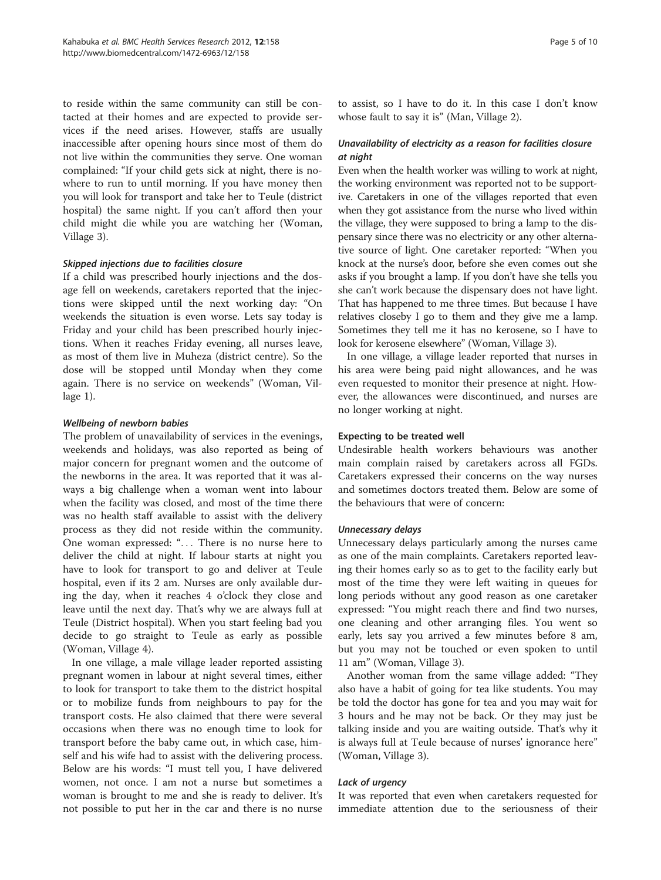to reside within the same community can still be contacted at their homes and are expected to provide services if the need arises. However, staffs are usually inaccessible after opening hours since most of them do not live within the communities they serve. One woman complained: "If your child gets sick at night, there is nowhere to run to until morning. If you have money then you will look for transport and take her to Teule (district hospital) the same night. If you can't afford then your child might die while you are watching her (Woman, Village 3).

# Skipped injections due to facilities closure

If a child was prescribed hourly injections and the dosage fell on weekends, caretakers reported that the injections were skipped until the next working day: "On weekends the situation is even worse. Lets say today is Friday and your child has been prescribed hourly injections. When it reaches Friday evening, all nurses leave, as most of them live in Muheza (district centre). So the dose will be stopped until Monday when they come again. There is no service on weekends" (Woman, Village 1).

# Wellbeing of newborn babies

The problem of unavailability of services in the evenings, weekends and holidays, was also reported as being of major concern for pregnant women and the outcome of the newborns in the area. It was reported that it was always a big challenge when a woman went into labour when the facility was closed, and most of the time there was no health staff available to assist with the delivery process as they did not reside within the community. One woman expressed: "... There is no nurse here to deliver the child at night. If labour starts at night you have to look for transport to go and deliver at Teule hospital, even if its 2 am. Nurses are only available during the day, when it reaches 4 o'clock they close and leave until the next day. That's why we are always full at Teule (District hospital). When you start feeling bad you decide to go straight to Teule as early as possible (Woman, Village 4).

In one village, a male village leader reported assisting pregnant women in labour at night several times, either to look for transport to take them to the district hospital or to mobilize funds from neighbours to pay for the transport costs. He also claimed that there were several occasions when there was no enough time to look for transport before the baby came out, in which case, himself and his wife had to assist with the delivering process. Below are his words: "I must tell you, I have delivered women, not once. I am not a nurse but sometimes a woman is brought to me and she is ready to deliver. It's not possible to put her in the car and there is no nurse

to assist, so I have to do it. In this case I don't know whose fault to say it is" (Man, Village 2).

# Unavailability of electricity as a reason for facilities closure at night

Even when the health worker was willing to work at night, the working environment was reported not to be supportive. Caretakers in one of the villages reported that even when they got assistance from the nurse who lived within the village, they were supposed to bring a lamp to the dispensary since there was no electricity or any other alternative source of light. One caretaker reported: "When you knock at the nurse's door, before she even comes out she asks if you brought a lamp. If you don't have she tells you she can't work because the dispensary does not have light. That has happened to me three times. But because I have relatives closeby I go to them and they give me a lamp. Sometimes they tell me it has no kerosene, so I have to look for kerosene elsewhere" (Woman, Village 3).

In one village, a village leader reported that nurses in his area were being paid night allowances, and he was even requested to monitor their presence at night. However, the allowances were discontinued, and nurses are no longer working at night.

#### Expecting to be treated well

Undesirable health workers behaviours was another main complain raised by caretakers across all FGDs. Caretakers expressed their concerns on the way nurses and sometimes doctors treated them. Below are some of the behaviours that were of concern:

#### Unnecessary delays

Unnecessary delays particularly among the nurses came as one of the main complaints. Caretakers reported leaving their homes early so as to get to the facility early but most of the time they were left waiting in queues for long periods without any good reason as one caretaker expressed: "You might reach there and find two nurses, one cleaning and other arranging files. You went so early, lets say you arrived a few minutes before 8 am, but you may not be touched or even spoken to until 11 am" (Woman, Village 3).

Another woman from the same village added: "They also have a habit of going for tea like students. You may be told the doctor has gone for tea and you may wait for 3 hours and he may not be back. Or they may just be talking inside and you are waiting outside. That's why it is always full at Teule because of nurses' ignorance here" (Woman, Village 3).

#### Lack of urgency

It was reported that even when caretakers requested for immediate attention due to the seriousness of their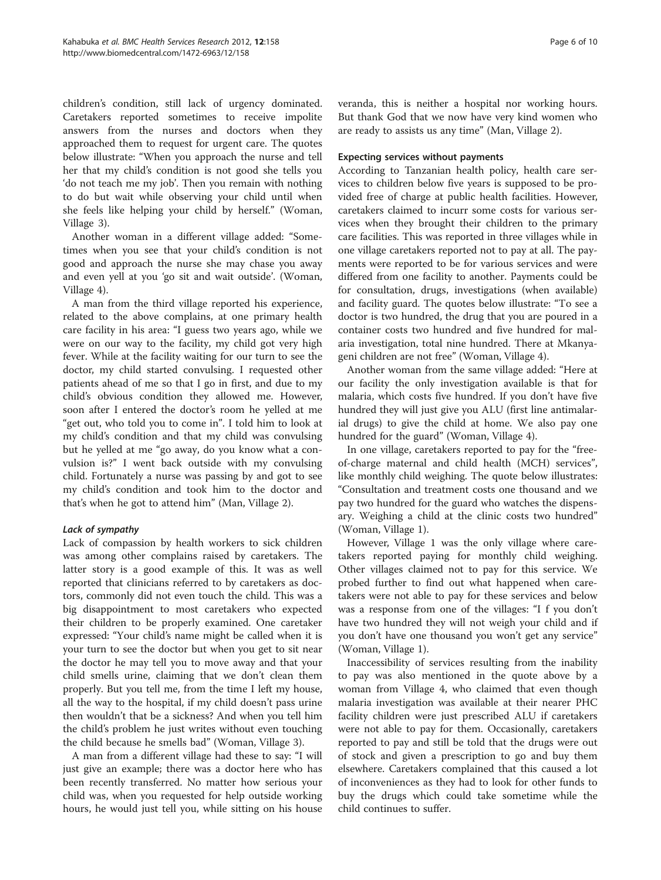children's condition, still lack of urgency dominated. Caretakers reported sometimes to receive impolite answers from the nurses and doctors when they approached them to request for urgent care. The quotes below illustrate: "When you approach the nurse and tell her that my child's condition is not good she tells you 'do not teach me my job'. Then you remain with nothing to do but wait while observing your child until when she feels like helping your child by herself." (Woman, Village 3).

Another woman in a different village added: "Sometimes when you see that your child's condition is not good and approach the nurse she may chase you away and even yell at you 'go sit and wait outside'. (Woman, Village 4).

A man from the third village reported his experience, related to the above complains, at one primary health care facility in his area: "I guess two years ago, while we were on our way to the facility, my child got very high fever. While at the facility waiting for our turn to see the doctor, my child started convulsing. I requested other patients ahead of me so that I go in first, and due to my child's obvious condition they allowed me. However, soon after I entered the doctor's room he yelled at me "get out, who told you to come in". I told him to look at my child's condition and that my child was convulsing but he yelled at me "go away, do you know what a convulsion is?" I went back outside with my convulsing child. Fortunately a nurse was passing by and got to see my child's condition and took him to the doctor and that's when he got to attend him" (Man, Village 2).

# Lack of sympathy

Lack of compassion by health workers to sick children was among other complains raised by caretakers. The latter story is a good example of this. It was as well reported that clinicians referred to by caretakers as doctors, commonly did not even touch the child. This was a big disappointment to most caretakers who expected their children to be properly examined. One caretaker expressed: "Your child's name might be called when it is your turn to see the doctor but when you get to sit near the doctor he may tell you to move away and that your child smells urine, claiming that we don't clean them properly. But you tell me, from the time I left my house, all the way to the hospital, if my child doesn't pass urine then wouldn't that be a sickness? And when you tell him the child's problem he just writes without even touching the child because he smells bad" (Woman, Village 3).

A man from a different village had these to say: "I will just give an example; there was a doctor here who has been recently transferred. No matter how serious your child was, when you requested for help outside working hours, he would just tell you, while sitting on his house

veranda, this is neither a hospital nor working hours. But thank God that we now have very kind women who are ready to assists us any time" (Man, Village 2).

# Expecting services without payments

According to Tanzanian health policy, health care services to children below five years is supposed to be provided free of charge at public health facilities. However, caretakers claimed to incurr some costs for various services when they brought their children to the primary care facilities. This was reported in three villages while in one village caretakers reported not to pay at all. The payments were reported to be for various services and were differed from one facility to another. Payments could be for consultation, drugs, investigations (when available) and facility guard. The quotes below illustrate: "To see a doctor is two hundred, the drug that you are poured in a container costs two hundred and five hundred for malaria investigation, total nine hundred. There at Mkanyageni children are not free" (Woman, Village 4).

Another woman from the same village added: "Here at our facility the only investigation available is that for malaria, which costs five hundred. If you don't have five hundred they will just give you ALU (first line antimalarial drugs) to give the child at home. We also pay one hundred for the guard" (Woman, Village 4).

In one village, caretakers reported to pay for the "freeof-charge maternal and child health (MCH) services", like monthly child weighing. The quote below illustrates: "Consultation and treatment costs one thousand and we pay two hundred for the guard who watches the dispensary. Weighing a child at the clinic costs two hundred" (Woman, Village 1).

However, Village 1 was the only village where caretakers reported paying for monthly child weighing. Other villages claimed not to pay for this service. We probed further to find out what happened when caretakers were not able to pay for these services and below was a response from one of the villages: "I f you don't have two hundred they will not weigh your child and if you don't have one thousand you won't get any service" (Woman, Village 1).

Inaccessibility of services resulting from the inability to pay was also mentioned in the quote above by a woman from Village 4, who claimed that even though malaria investigation was available at their nearer PHC facility children were just prescribed ALU if caretakers were not able to pay for them. Occasionally, caretakers reported to pay and still be told that the drugs were out of stock and given a prescription to go and buy them elsewhere. Caretakers complained that this caused a lot of inconveniences as they had to look for other funds to buy the drugs which could take sometime while the child continues to suffer.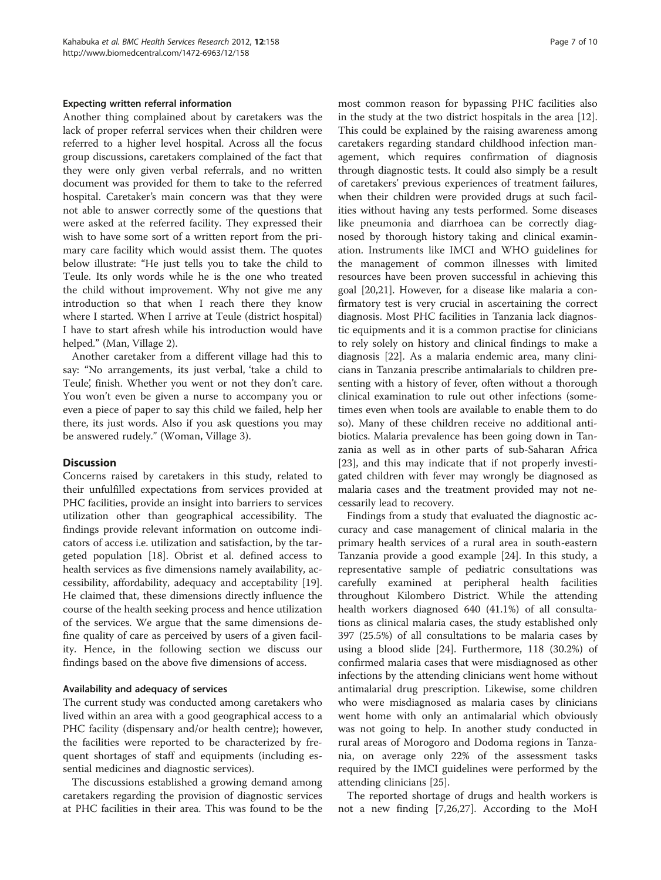#### Expecting written referral information

Another thing complained about by caretakers was the lack of proper referral services when their children were referred to a higher level hospital. Across all the focus group discussions, caretakers complained of the fact that they were only given verbal referrals, and no written document was provided for them to take to the referred hospital. Caretaker's main concern was that they were not able to answer correctly some of the questions that were asked at the referred facility. They expressed their wish to have some sort of a written report from the primary care facility which would assist them. The quotes below illustrate: "He just tells you to take the child to Teule. Its only words while he is the one who treated the child without improvement. Why not give me any introduction so that when I reach there they know where I started. When I arrive at Teule (district hospital) I have to start afresh while his introduction would have helped." (Man, Village 2).

Another caretaker from a different village had this to say: "No arrangements, its just verbal, 'take a child to Teule', finish. Whether you went or not they don't care. You won't even be given a nurse to accompany you or even a piece of paper to say this child we failed, help her there, its just words. Also if you ask questions you may be answered rudely." (Woman, Village 3).

#### **Discussion**

Concerns raised by caretakers in this study, related to their unfulfilled expectations from services provided at PHC facilities, provide an insight into barriers to services utilization other than geographical accessibility. The findings provide relevant information on outcome indicators of access i.e. utilization and satisfaction, by the targeted population [[18](#page-8-0)]. Obrist et al. defined access to health services as five dimensions namely availability, accessibility, affordability, adequacy and acceptability [\[19](#page-8-0)]. He claimed that, these dimensions directly influence the course of the health seeking process and hence utilization of the services. We argue that the same dimensions define quality of care as perceived by users of a given facility. Hence, in the following section we discuss our findings based on the above five dimensions of access.

# Availability and adequacy of services

The current study was conducted among caretakers who lived within an area with a good geographical access to a PHC facility (dispensary and/or health centre); however, the facilities were reported to be characterized by frequent shortages of staff and equipments (including essential medicines and diagnostic services).

The discussions established a growing demand among caretakers regarding the provision of diagnostic services at PHC facilities in their area. This was found to be the

most common reason for bypassing PHC facilities also in the study at the two district hospitals in the area [\[12](#page-8-0)]. This could be explained by the raising awareness among caretakers regarding standard childhood infection management, which requires confirmation of diagnosis through diagnostic tests. It could also simply be a result of caretakers' previous experiences of treatment failures, when their children were provided drugs at such facilities without having any tests performed. Some diseases like pneumonia and diarrhoea can be correctly diagnosed by thorough history taking and clinical examination. Instruments like IMCI and WHO guidelines for the management of common illnesses with limited resources have been proven successful in achieving this goal [[20,21\]](#page-8-0). However, for a disease like malaria a confirmatory test is very crucial in ascertaining the correct diagnosis. Most PHC facilities in Tanzania lack diagnostic equipments and it is a common practise for clinicians to rely solely on history and clinical findings to make a diagnosis [[22\]](#page-8-0). As a malaria endemic area, many clinicians in Tanzania prescribe antimalarials to children presenting with a history of fever, often without a thorough clinical examination to rule out other infections (sometimes even when tools are available to enable them to do so). Many of these children receive no additional antibiotics. Malaria prevalence has been going down in Tanzania as well as in other parts of sub-Saharan Africa [[23\]](#page-9-0), and this may indicate that if not properly investigated children with fever may wrongly be diagnosed as malaria cases and the treatment provided may not necessarily lead to recovery.

Findings from a study that evaluated the diagnostic accuracy and case management of clinical malaria in the primary health services of a rural area in south-eastern Tanzania provide a good example [[24](#page-9-0)]. In this study, a representative sample of pediatric consultations was carefully examined at peripheral health facilities throughout Kilombero District. While the attending health workers diagnosed 640 (41.1%) of all consultations as clinical malaria cases, the study established only 397 (25.5%) of all consultations to be malaria cases by using a blood slide [\[24\]](#page-9-0). Furthermore, 118 (30.2%) of confirmed malaria cases that were misdiagnosed as other infections by the attending clinicians went home without antimalarial drug prescription. Likewise, some children who were misdiagnosed as malaria cases by clinicians went home with only an antimalarial which obviously was not going to help. In another study conducted in rural areas of Morogoro and Dodoma regions in Tanzania, on average only 22% of the assessment tasks required by the IMCI guidelines were performed by the attending clinicians [\[25](#page-9-0)].

The reported shortage of drugs and health workers is not a new finding [\[7](#page-8-0)[,26,27](#page-9-0)]. According to the MoH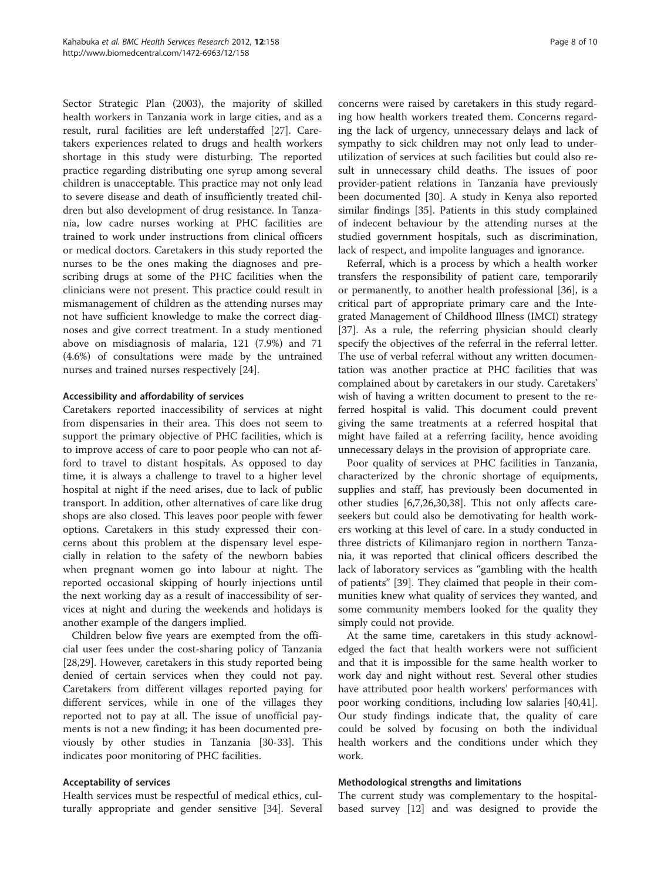Sector Strategic Plan (2003), the majority of skilled health workers in Tanzania work in large cities, and as a result, rural facilities are left understaffed [\[27\]](#page-9-0). Caretakers experiences related to drugs and health workers shortage in this study were disturbing. The reported practice regarding distributing one syrup among several children is unacceptable. This practice may not only lead to severe disease and death of insufficiently treated children but also development of drug resistance. In Tanzania, low cadre nurses working at PHC facilities are trained to work under instructions from clinical officers or medical doctors. Caretakers in this study reported the nurses to be the ones making the diagnoses and prescribing drugs at some of the PHC facilities when the clinicians were not present. This practice could result in mismanagement of children as the attending nurses may not have sufficient knowledge to make the correct diagnoses and give correct treatment. In a study mentioned above on misdiagnosis of malaria, 121 (7.9%) and 71 (4.6%) of consultations were made by the untrained nurses and trained nurses respectively [[24\]](#page-9-0).

# Accessibility and affordability of services

Caretakers reported inaccessibility of services at night from dispensaries in their area. This does not seem to support the primary objective of PHC facilities, which is to improve access of care to poor people who can not afford to travel to distant hospitals. As opposed to day time, it is always a challenge to travel to a higher level hospital at night if the need arises, due to lack of public transport. In addition, other alternatives of care like drug shops are also closed. This leaves poor people with fewer options. Caretakers in this study expressed their concerns about this problem at the dispensary level especially in relation to the safety of the newborn babies when pregnant women go into labour at night. The reported occasional skipping of hourly injections until the next working day as a result of inaccessibility of services at night and during the weekends and holidays is another example of the dangers implied.

Children below five years are exempted from the official user fees under the cost-sharing policy of Tanzania [[28,29\]](#page-9-0). However, caretakers in this study reported being denied of certain services when they could not pay. Caretakers from different villages reported paying for different services, while in one of the villages they reported not to pay at all. The issue of unofficial payments is not a new finding; it has been documented previously by other studies in Tanzania [[30](#page-9-0)-[33\]](#page-9-0). This indicates poor monitoring of PHC facilities.

#### Acceptability of services

Health services must be respectful of medical ethics, culturally appropriate and gender sensitive [\[34](#page-9-0)]. Several

concerns were raised by caretakers in this study regarding how health workers treated them. Concerns regarding the lack of urgency, unnecessary delays and lack of sympathy to sick children may not only lead to underutilization of services at such facilities but could also result in unnecessary child deaths. The issues of poor provider-patient relations in Tanzania have previously been documented [\[30\]](#page-9-0). A study in Kenya also reported similar findings [[35\]](#page-9-0). Patients in this study complained of indecent behaviour by the attending nurses at the studied government hospitals, such as discrimination, lack of respect, and impolite languages and ignorance.

Referral, which is a process by which a health worker transfers the responsibility of patient care, temporarily or permanently, to another health professional [\[36](#page-9-0)], is a critical part of appropriate primary care and the Integrated Management of Childhood Illness (IMCI) strategy [[37\]](#page-9-0). As a rule, the referring physician should clearly specify the objectives of the referral in the referral letter. The use of verbal referral without any written documentation was another practice at PHC facilities that was complained about by caretakers in our study. Caretakers' wish of having a written document to present to the referred hospital is valid. This document could prevent giving the same treatments at a referred hospital that might have failed at a referring facility, hence avoiding unnecessary delays in the provision of appropriate care.

Poor quality of services at PHC facilities in Tanzania, characterized by the chronic shortage of equipments, supplies and staff, has previously been documented in other studies [[6,7,](#page-8-0)[26,30,38\]](#page-9-0). This not only affects careseekers but could also be demotivating for health workers working at this level of care. In a study conducted in three districts of Kilimanjaro region in northern Tanzania, it was reported that clinical officers described the lack of laboratory services as "gambling with the health of patients" [[39\]](#page-9-0). They claimed that people in their communities knew what quality of services they wanted, and some community members looked for the quality they simply could not provide.

At the same time, caretakers in this study acknowledged the fact that health workers were not sufficient and that it is impossible for the same health worker to work day and night without rest. Several other studies have attributed poor health workers' performances with poor working conditions, including low salaries [\[40,41](#page-9-0)]. Our study findings indicate that, the quality of care could be solved by focusing on both the individual health workers and the conditions under which they work.

#### Methodological strengths and limitations

The current study was complementary to the hospitalbased survey [[12\]](#page-8-0) and was designed to provide the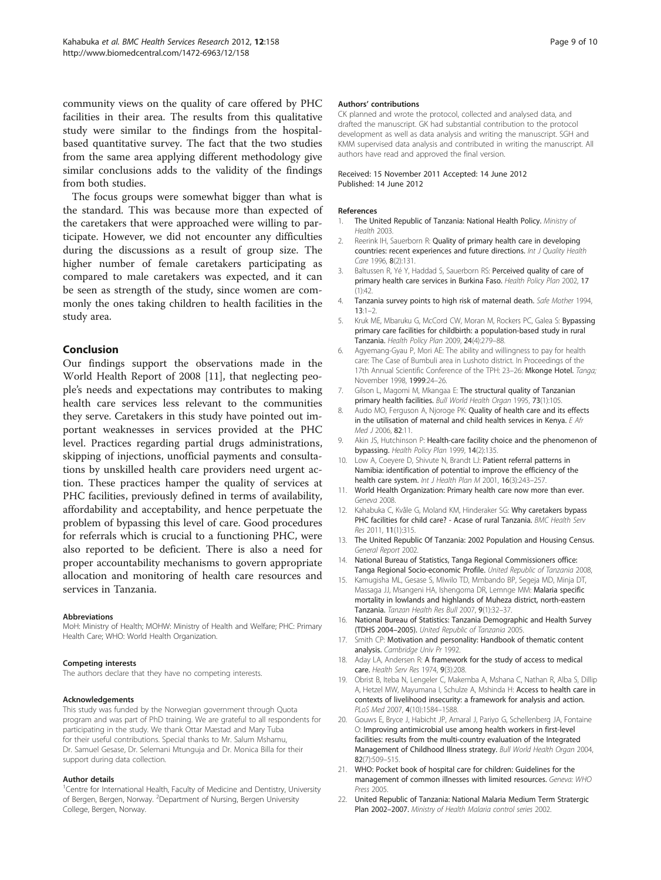<span id="page-8-0"></span>community views on the quality of care offered by PHC facilities in their area. The results from this qualitative study were similar to the findings from the hospitalbased quantitative survey. The fact that the two studies from the same area applying different methodology give similar conclusions adds to the validity of the findings from both studies.

The focus groups were somewhat bigger than what is the standard. This was because more than expected of the caretakers that were approached were willing to participate. However, we did not encounter any difficulties during the discussions as a result of group size. The higher number of female caretakers participating as compared to male caretakers was expected, and it can be seen as strength of the study, since women are commonly the ones taking children to health facilities in the study area.

# Conclusion

Our findings support the observations made in the World Health Report of 2008 [11], that neglecting people's needs and expectations may contributes to making health care services less relevant to the communities they serve. Caretakers in this study have pointed out important weaknesses in services provided at the PHC level. Practices regarding partial drugs administrations, skipping of injections, unofficial payments and consultations by unskilled health care providers need urgent action. These practices hamper the quality of services at PHC facilities, previously defined in terms of availability, affordability and acceptability, and hence perpetuate the problem of bypassing this level of care. Good procedures for referrals which is crucial to a functioning PHC, were also reported to be deficient. There is also a need for proper accountability mechanisms to govern appropriate allocation and monitoring of health care resources and services in Tanzania.

#### Abbreviations

MoH: Ministry of Health; MOHW: Ministry of Health and Welfare; PHC: Primary Health Care; WHO: World Health Organization.

#### Competing interests

The authors declare that they have no competing interests.

#### Acknowledgements

This study was funded by the Norwegian government through Quota program and was part of PhD training. We are grateful to all respondents for participating in the study. We thank Ottar Mæstad and Mary Tuba for their useful contributions. Special thanks to Mr. Salum Mshamu, Dr. Samuel Gesase, Dr. Selemani Mtunguja and Dr. Monica Billa for their support during data collection.

#### Author details

<sup>1</sup>Centre for International Health, Faculty of Medicine and Dentistry, University of Bergen, Bergen, Norway. <sup>2</sup>Department of Nursing, Bergen University College, Bergen, Norway.

#### Authors' contributions

CK planned and wrote the protocol, collected and analysed data, and drafted the manuscript. GK had substantial contribution to the protocol development as well as data analysis and writing the manuscript. SGH and KMM supervised data analysis and contributed in writing the manuscript. All authors have read and approved the final version.

#### Received: 15 November 2011 Accepted: 14 June 2012 Published: 14 June 2012

#### References

- 1. The United Republic of Tanzania: National Health Policy. Ministry of Health 2003.
- 2. Reerink IH, Sauerborn R: Quality of primary health care in developing countries: recent experiences and future directions. Int J Quality Health Care 1996, 8(2):131.
- 3. Baltussen R, Yé Y, Haddad S, Sauerborn RS: Perceived quality of care of primary health care services in Burkina Faso. Health Policy Plan 2002, 17  $(1):42.$
- 4. Tanzania survey points to high risk of maternal death. Safe Mother 1994,  $13:1-2$
- 5. Kruk ME, Mbaruku G, McCord CW, Moran M, Rockers PC, Galea S: Bypassing primary care facilities for childbirth: a population-based study in rural Tanzania. Health Policy Plan 2009, 24(4):279–88.
- 6. Agyemang-Gyau P, Mori AE: The ability and willingness to pay for health care: The Case of Bumbuli area in Lushoto district. In Proceedings of the 17th Annual Scientific Conference of the TPH: 23-26: Mkonge Hotel. Tanga; November 1998, 1999:24–26.
- 7. Gilson L, Magomi M, Mkangaa E: The structural quality of Tanzanian primary health facilities. Bull World Health Organ 1995, 73(1):105.
- 8. Audo MO, Ferguson A, Njoroge PK: Quality of health care and its effects in the utilisation of maternal and child health services in Kenya. E Afr Med J 2006, 82:11.
- 9. Akin JS, Hutchinson P: Health-care facility choice and the phenomenon of bypassing. Health Policy Plan 1999, 14(2):135.
- 10. Low A, Coeyere D, Shivute N, Brandt LJ: Patient referral patterns in Namibia: identification of potential to improve the efficiency of the health care system. Int J Health Plan M 2001, 16(3):243-257.
- 11. World Health Organization: Primary health care now more than ever. Geneva 2008.
- 12. Kahabuka C, Kvåle G, Moland KM, Hinderaker SG: Why caretakers bypass PHC facilities for child care? - Acase of rural Tanzania. BMC Health Serv Res 2011, 11(1):315.
- 13. The United Republic Of Tanzania: 2002 Population and Housing Census. General Report 2002.
- 14. National Bureau of Statistics, Tanga Regional Commissioners office: Tanga Regional Socio-economic Profile. United Republic of Tanzania 2008,
- 15. Kamugisha ML, Gesase S, Mlwilo TD, Mmbando BP, Segeja MD, Minja DT, Massaga JJ, Msangeni HA, Ishengoma DR, Lemnge MM: Malaria specific mortality in lowlands and highlands of Muheza district, north-eastern Tanzania. Tanzan Health Res Bull 2007, 9(1):32–37.
- 16. National Bureau of Statistics: Tanzania Demographic and Health Survey (TDHS 2004–2005). United Republic of Tanzania 2005.
- 17. Smith CP: Motivation and personality: Handbook of thematic content analysis. Cambridge Univ Pr 1992.
- 18. Aday LA, Andersen R: A framework for the study of access to medical care. Health Serv Res 1974, 9(3):208.
- 19. Obrist B, Iteba N, Lengeler C, Makemba A, Mshana C, Nathan R, Alba S, Dillip A, Hetzel MW, Mayumana I, Schulze A, Mshinda H: Access to health care in contexts of livelihood insecurity: a framework for analysis and action. PLoS Med 2007, 4(10):1584–1588.
- 20. Gouws E, Bryce J, Habicht JP, Amaral J, Pariyo G, Schellenberg JA, Fontaine O: Improving antimicrobial use among health workers in first-level facilities: results from the multi-country evaluation of the Integrated Management of Childhood Illness strategy. Bull World Health Organ 2004, 82(7):509–515.
- 21. WHO: Pocket book of hospital care for children: Guidelines for the management of common illnesses with limited resources. Geneva: WHO Press 2005.
- 22. United Republic of Tanzania: National Malaria Medium Term Stratergic Plan 2002–2007. Ministry of Health Malaria control series 2002.